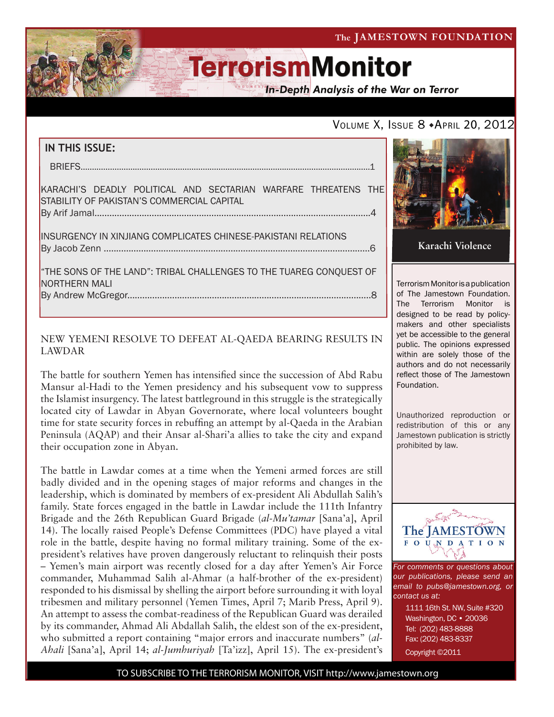## The JAMESTOWN FOUNDATION

# **TerrorismMonitor**

**In-Depth Analysis of the War on Terror** 

## VOLUME X, ISSUE 8 + APRIL 20, 2012

| IN THIS ISSUE:                                                                                                       |
|----------------------------------------------------------------------------------------------------------------------|
|                                                                                                                      |
| KARACHI'S DEADLY POLITICAL AND SECTARIAN WARFARE THREATENS THE<br><b>ISTABILITY OF PAKISTAN'S COMMERCIAL CAPITAL</b> |
| INSURGENCY IN XINJIANG COMPLICATES CHINESE-PAKISTANI RELATIONS                                                       |
| "THE SONS OF THE LAND": TRIBAL CHALLENGES TO THE TUAREG CONQUEST OF<br><b>INORTHERN MALI</b>                         |
|                                                                                                                      |

## NEW YEMENI RESOLVE TO DEFEAT AL-QAEDA BEARING RESULTS IN LAWDAR

The battle for southern Yemen has intensified since the succession of Abd Rabu Mansur al-Hadi to the Yemen presidency and his subsequent vow to suppress the Islamist insurgency. The latest battleground in this struggle is the strategically located city of Lawdar in Abyan Governorate, where local volunteers bought time for state security forces in rebuffing an attempt by al-Qaeda in the Arabian Peninsula (AQAP) and their Ansar al-Shari'a allies to take the city and expand their occupation zone in Abyan.

The battle in Lawdar comes at a time when the Yemeni armed forces are still badly divided and in the opening stages of major reforms and changes in the leadership, which is dominated by members of ex-president Ali Abdullah Salih's family. State forces engaged in the battle in Lawdar include the 111th Infantry Brigade and the 26th Republican Guard Brigade (*al-Mu'tamar* [Sana'a], April 14). The locally raised People's Defense Committees (PDC) have played a vital role in the battle, despite having no formal military training. Some of the expresident's relatives have proven dangerously reluctant to relinquish their posts

– Yemen's main airport was recently closed for a day after Yemen's Air Force commander, Muhammad Salih al-Ahmar (a half-brother of the ex-president) responded to his dismissal by shelling the airport before surrounding it with loyal tribesmen and military personnel (Yemen Times, April 7; Marib Press, April 9). An attempt to assess the combat-readiness of the Republican Guard was derailed by its commander, Ahmad Ali Abdallah Salih, the eldest son of the ex-president, who submitted a report containing "major errors and inaccurate numbers" (*al-Ahali* [Sana'a], April 14; *al-Jumhuriyah* [Ta'izz], April 15). The ex-president's



**Karachi Violence**

Terrorism Monitor is a publication of The Jamestown Foundation. The Terrorism Monitor is designed to be read by policymakers and other specialists yet be accessible to the general public. The opinions expressed within are solely those of the authors and do not necessarily reflect those of The Jamestown Foundation.

Unauthorized reproduction or redistribution of this or any Jamestown publication is strictly prohibited by law.



*For comments or questions about our publications, please send an email to pubs@jamestown.org, or contact us at:* 

> 1111 16th St. NW, Suite #320 Washington, DC • 20036 Tel: (202) 483-8888 Fax: (202) 483-8337 Copyright ©2011

TO SUBSCRIBE TO THE TERRORISM MONITOR, VISIT http://www.jamestown.org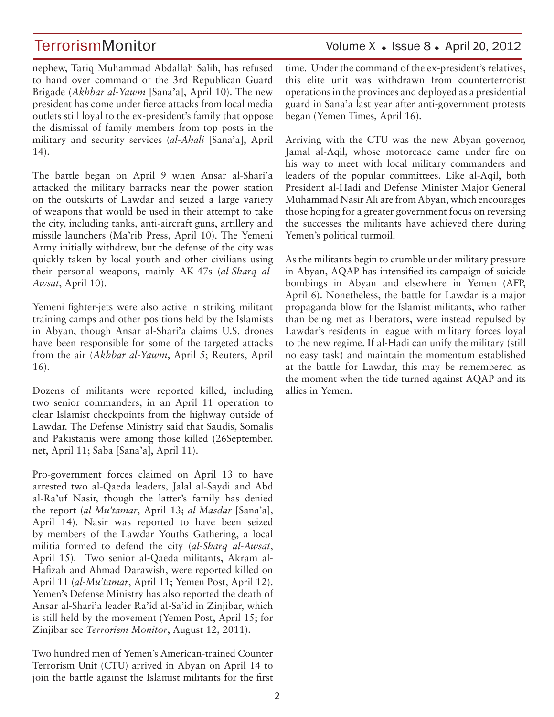### nephew, Tariq Muhammad Abdallah Salih, has refused to hand over command of the 3rd Republican Guard Brigade (*Akhbar al-Yawm* [Sana'a], April 10). The new president has come under fierce attacks from local media outlets still loyal to the ex-president's family that oppose the dismissal of family members from top posts in the military and security services (*al-Ahali* [Sana'a], April 14).

The battle began on April 9 when Ansar al-Shari'a attacked the military barracks near the power station on the outskirts of Lawdar and seized a large variety of weapons that would be used in their attempt to take the city, including tanks, anti-aircraft guns, artillery and missile launchers (Ma'rib Press, April 10). The Yemeni Army initially withdrew, but the defense of the city was quickly taken by local youth and other civilians using their personal weapons, mainly AK-47s (*al-Sharq al-Awsat*, April 10).

Yemeni fighter-jets were also active in striking militant training camps and other positions held by the Islamists in Abyan, though Ansar al-Shari'a claims U.S. drones have been responsible for some of the targeted attacks from the air (*Akhbar al-Yawm*, April 5; Reuters, April 16).

Dozens of militants were reported killed, including two senior commanders, in an April 11 operation to clear Islamist checkpoints from the highway outside of Lawdar. The Defense Ministry said that Saudis, Somalis and Pakistanis were among those killed (26September. net, April 11; Saba [Sana'a], April 11).

Pro-government forces claimed on April 13 to have arrested two al-Qaeda leaders, Jalal al-Saydi and Abd al-Ra'uf Nasir, though the latter's family has denied the report (*al-Mu'tamar*, April 13; *al-Masdar* [Sana'a], April 14). Nasir was reported to have been seized by members of the Lawdar Youths Gathering, a local militia formed to defend the city (*al-Sharq al-Awsat*, April 15). Two senior al-Qaeda militants, Akram al-Hafizah and Ahmad Darawish, were reported killed on April 11 (*al-Mu'tamar*, April 11; Yemen Post, April 12). Yemen's Defense Ministry has also reported the death of Ansar al-Shari'a leader Ra'id al-Sa'id in Zinjibar, which is still held by the movement (Yemen Post, April 15; for Zinjibar see *Terrorism Monitor*, August 12, 2011).

Two hundred men of Yemen's American-trained Counter Terrorism Unit (CTU) arrived in Abyan on April 14 to join the battle against the Islamist militants for the first

## TerrorismMonitor Volume X + Issue 8 + April 20, 2012

time. Under the command of the ex-president's relatives, this elite unit was withdrawn from counterterrorist operations in the provinces and deployed as a presidential guard in Sana'a last year after anti-government protests began (Yemen Times, April 16).

Arriving with the CTU was the new Abyan governor, Jamal al-Aqil, whose motorcade came under fire on his way to meet with local military commanders and leaders of the popular committees. Like al-Aqil, both President al-Hadi and Defense Minister Major General Muhammad Nasir Ali are from Abyan, which encourages those hoping for a greater government focus on reversing the successes the militants have achieved there during Yemen's political turmoil.

As the militants begin to crumble under military pressure in Abyan, AQAP has intensified its campaign of suicide bombings in Abyan and elsewhere in Yemen (AFP, April 6). Nonetheless, the battle for Lawdar is a major propaganda blow for the Islamist militants, who rather than being met as liberators, were instead repulsed by Lawdar's residents in league with military forces loyal to the new regime. If al-Hadi can unify the military (still no easy task) and maintain the momentum established at the battle for Lawdar, this may be remembered as the moment when the tide turned against AQAP and its allies in Yemen.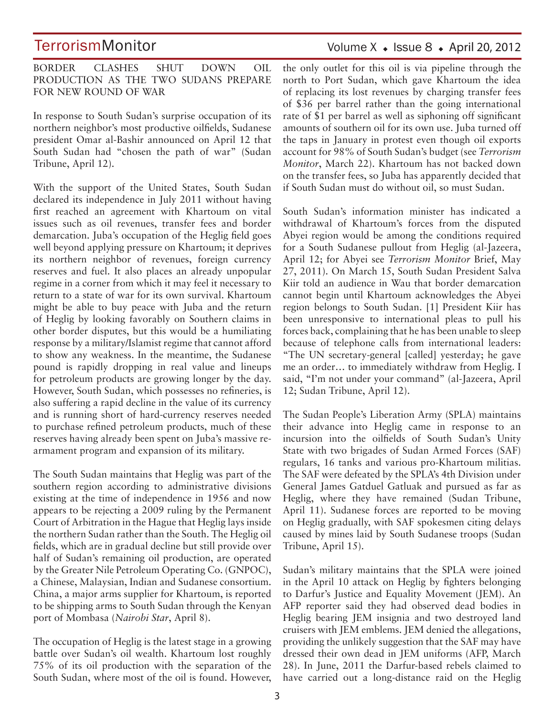### BORDER CLASHES SHUT DOWN OIL PRODUCTION AS THE TWO SUDANS PREPARE FOR NEW ROUND OF WAR

In response to South Sudan's surprise occupation of its northern neighbor's most productive oilfields, Sudanese president Omar al-Bashir announced on April 12 that South Sudan had "chosen the path of war" (Sudan Tribune, April 12).

With the support of the United States, South Sudan declared its independence in July 2011 without having first reached an agreement with Khartoum on vital issues such as oil revenues, transfer fees and border demarcation. Juba's occupation of the Heglig field goes well beyond applying pressure on Khartoum; it deprives its northern neighbor of revenues, foreign currency reserves and fuel. It also places an already unpopular regime in a corner from which it may feel it necessary to return to a state of war for its own survival. Khartoum might be able to buy peace with Juba and the return of Heglig by looking favorably on Southern claims in other border disputes, but this would be a humiliating response by a military/Islamist regime that cannot afford to show any weakness. In the meantime, the Sudanese pound is rapidly dropping in real value and lineups for petroleum products are growing longer by the day. However, South Sudan, which possesses no refineries, is also suffering a rapid decline in the value of its currency and is running short of hard-currency reserves needed to purchase refined petroleum products, much of these reserves having already been spent on Juba's massive rearmament program and expansion of its military.

The South Sudan maintains that Heglig was part of the southern region according to administrative divisions existing at the time of independence in 1956 and now appears to be rejecting a 2009 ruling by the Permanent Court of Arbitration in the Hague that Heglig lays inside the northern Sudan rather than the South. The Heglig oil fields, which are in gradual decline but still provide over half of Sudan's remaining oil production, are operated by the Greater Nile Petroleum Operating Co. (GNPOC), a Chinese, Malaysian, Indian and Sudanese consortium. China, a major arms supplier for Khartoum, is reported to be shipping arms to South Sudan through the Kenyan port of Mombasa (*Nairobi Star*, April 8).

The occupation of Heglig is the latest stage in a growing battle over Sudan's oil wealth. Khartoum lost roughly 75% of its oil production with the separation of the South Sudan, where most of the oil is found. However,

## the only outlet for this oil is via pipeline through the north to Port Sudan, which gave Khartoum the idea of replacing its lost revenues by charging transfer fees of \$36 per barrel rather than the going international rate of \$1 per barrel as well as siphoning off significant amounts of southern oil for its own use. Juba turned off the taps in January in protest even though oil exports account for 98% of South Sudan's budget (see *Terrorism Monitor*, March 22). Khartoum has not backed down on the transfer fees, so Juba has apparently decided that if South Sudan must do without oil, so must Sudan.

South Sudan's information minister has indicated a withdrawal of Khartoum's forces from the disputed Abyei region would be among the conditions required for a South Sudanese pullout from Heglig (al-Jazeera, April 12; for Abyei see *Terrorism Monitor* Brief, May 27, 2011). On March 15, South Sudan President Salva Kiir told an audience in Wau that border demarcation cannot begin until Khartoum acknowledges the Abyei region belongs to South Sudan. [1] President Kiir has been unresponsive to international pleas to pull his forces back, complaining that he has been unable to sleep because of telephone calls from international leaders: "The UN secretary-general [called] yesterday; he gave me an order… to immediately withdraw from Heglig. I said, "I'm not under your command" (al-Jazeera, April 12; Sudan Tribune, April 12).

The Sudan People's Liberation Army (SPLA) maintains their advance into Heglig came in response to an incursion into the oilfields of South Sudan's Unity State with two brigades of Sudan Armed Forces (SAF) regulars, 16 tanks and various pro-Khartoum militias. The SAF were defeated by the SPLA's 4th Division under General James Gatduel Gatluak and pursued as far as Heglig, where they have remained (Sudan Tribune, April 11). Sudanese forces are reported to be moving on Heglig gradually, with SAF spokesmen citing delays caused by mines laid by South Sudanese troops (Sudan Tribune, April 15).

Sudan's military maintains that the SPLA were joined in the April 10 attack on Heglig by fighters belonging to Darfur's Justice and Equality Movement (JEM). An AFP reporter said they had observed dead bodies in Heglig bearing JEM insignia and two destroyed land cruisers with JEM emblems. JEM denied the allegations, providing the unlikely suggestion that the SAF may have dressed their own dead in JEM uniforms (AFP, March 28). In June, 2011 the Darfur-based rebels claimed to have carried out a long-distance raid on the Heglig

## Volume  $X \triangleleft Issue 8 \triangleleft Arpi 120, 2012$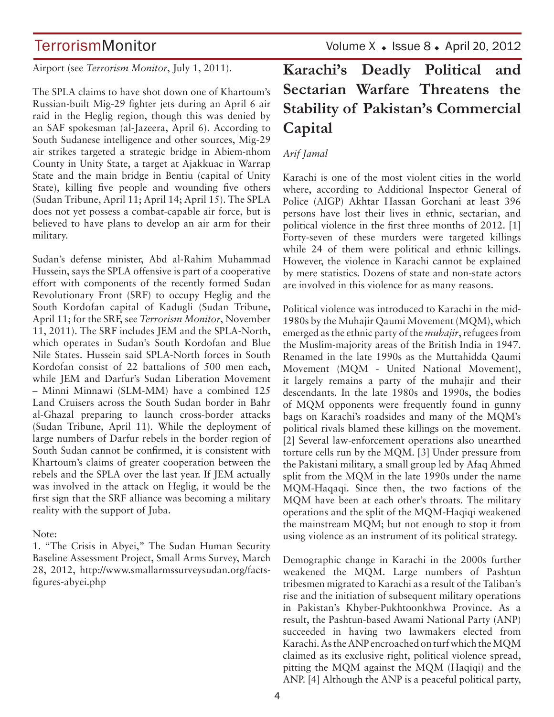Airport (see *Terrorism Monitor*, July 1, 2011).

The SPLA claims to have shot down one of Khartoum's Russian-built Mig-29 fighter jets during an April 6 air raid in the Heglig region, though this was denied by an SAF spokesman (al-Jazeera, April 6). According to South Sudanese intelligence and other sources, Mig-29 air strikes targeted a strategic bridge in Abiem-nhom County in Unity State, a target at Ajakkuac in Warrap State and the main bridge in Bentiu (capital of Unity State), killing five people and wounding five others (Sudan Tribune, April 11; April 14; April 15). The SPLA does not yet possess a combat-capable air force, but is believed to have plans to develop an air arm for their military.

Sudan's defense minister, Abd al-Rahim Muhammad Hussein, says the SPLA offensive is part of a cooperative effort with components of the recently formed Sudan Revolutionary Front (SRF) to occupy Heglig and the South Kordofan capital of Kadugli (Sudan Tribune, April 11; for the SRF, see *Terrorism Monitor*, November 11, 2011). The SRF includes JEM and the SPLA-North, which operates in Sudan's South Kordofan and Blue Nile States. Hussein said SPLA-North forces in South Kordofan consist of 22 battalions of 500 men each, while JEM and Darfur's Sudan Liberation Movement – Minni Minnawi (SLM-MM) have a combined 125 Land Cruisers across the South Sudan border in Bahr al-Ghazal preparing to launch cross-border attacks (Sudan Tribune, April 11). While the deployment of large numbers of Darfur rebels in the border region of South Sudan cannot be confirmed, it is consistent with Khartoum's claims of greater cooperation between the rebels and the SPLA over the last year. If JEM actually was involved in the attack on Heglig, it would be the first sign that the SRF alliance was becoming a military reality with the support of Juba.

### Note:

1. "The Crisis in Abyei," The Sudan Human Security Baseline Assessment Project, Small Arms Survey, March 28, 2012, http://www.smallarmssurveysudan.org/factsfigures-abyei.php

## **Karachi's Deadly Political and Sectarian Warfare Threatens the Stability of Pakistan's Commercial Capital**

## *Arif Jamal*

Karachi is one of the most violent cities in the world where, according to Additional Inspector General of Police (AIGP) Akhtar Hassan Gorchani at least 396 persons have lost their lives in ethnic, sectarian, and political violence in the first three months of 2012. [1] Forty-seven of these murders were targeted killings while 24 of them were political and ethnic killings. However, the violence in Karachi cannot be explained by mere statistics. Dozens of state and non-state actors are involved in this violence for as many reasons.

Political violence was introduced to Karachi in the mid-1980s by the Muhajir Qaumi Movement (MQM), which emerged as the ethnic party of the *muhajir*, refugees from the Muslim-majority areas of the British India in 1947. Renamed in the late 1990s as the Muttahidda Qaumi Movement (MQM - United National Movement), it largely remains a party of the muhajir and their descendants. In the late 1980s and 1990s, the bodies of MQM opponents were frequently found in gunny bags on Karachi's roadsides and many of the MQM's political rivals blamed these killings on the movement. [2] Several law-enforcement operations also unearthed torture cells run by the MQM. [3] Under pressure from the Pakistani military, a small group led by Afaq Ahmed split from the MQM in the late 1990s under the name MQM-Haqaqi. Since then, the two factions of the MQM have been at each other's throats. The military operations and the split of the MQM-Haqiqi weakened the mainstream MQM; but not enough to stop it from using violence as an instrument of its political strategy.

Demographic change in Karachi in the 2000s further weakened the MQM. Large numbers of Pashtun tribesmen migrated to Karachi as a result of the Taliban's rise and the initiation of subsequent military operations in Pakistan's Khyber-Pukhtoonkhwa Province. As a result, the Pashtun-based Awami National Party (ANP) succeeded in having two lawmakers elected from Karachi. As the ANP encroached on turf which the MQM claimed as its exclusive right, political violence spread, pitting the MQM against the MQM (Haqiqi) and the ANP. [4] Although the ANP is a peaceful political party,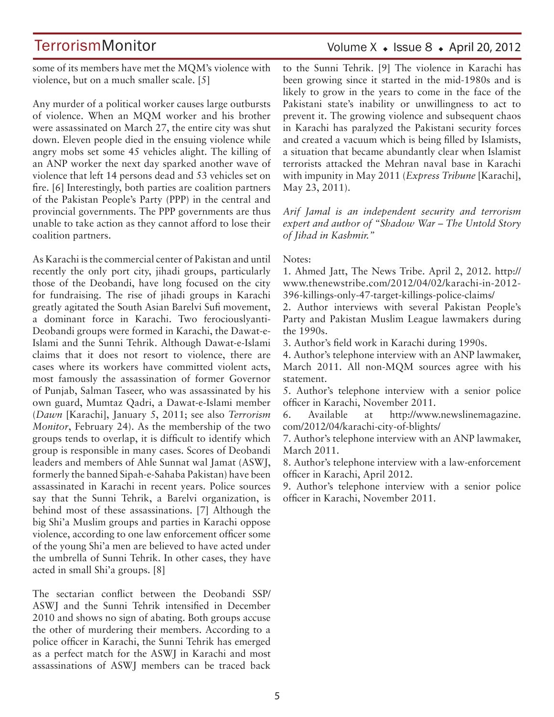some of its members have met the MQM's violence with violence, but on a much smaller scale. [5]

Any murder of a political worker causes large outbursts of violence. When an MQM worker and his brother were assassinated on March 27, the entire city was shut down. Eleven people died in the ensuing violence while angry mobs set some 45 vehicles alight. The killing of an ANP worker the next day sparked another wave of violence that left 14 persons dead and 53 vehicles set on fire. [6] Interestingly, both parties are coalition partners of the Pakistan People's Party (PPP) in the central and provincial governments. The PPP governments are thus unable to take action as they cannot afford to lose their coalition partners.

As Karachi is the commercial center of Pakistan and until recently the only port city, jihadi groups, particularly those of the Deobandi, have long focused on the city for fundraising. The rise of jihadi groups in Karachi greatly agitated the South Asian Barelvi Sufi movement, a dominant force in Karachi. Two ferociouslyanti-Deobandi groups were formed in Karachi, the Dawat-e-Islami and the Sunni Tehrik. Although Dawat-e-Islami claims that it does not resort to violence, there are cases where its workers have committed violent acts, most famously the assassination of former Governor of Punjab, Salman Taseer, who was assassinated by his own guard, Mumtaz Qadri, a Dawat-e-Islami member (*Dawn* [Karachi], January 5, 2011; see also *Terrorism Monitor*, February 24). As the membership of the two groups tends to overlap, it is difficult to identify which group is responsible in many cases. Scores of Deobandi leaders and members of Ahle Sunnat wal Jamat (ASWJ, formerly the banned Sipah-e-Sahaba Pakistan) have been assassinated in Karachi in recent years. Police sources say that the Sunni Tehrik, a Barelvi organization, is behind most of these assassinations. [7] Although the big Shi'a Muslim groups and parties in Karachi oppose violence, according to one law enforcement officer some of the young Shi'a men are believed to have acted under the umbrella of Sunni Tehrik. In other cases, they have acted in small Shi'a groups. [8]

The sectarian conflict between the Deobandi SSP/ ASWJ and the Sunni Tehrik intensified in December 2010 and shows no sign of abating. Both groups accuse the other of murdering their members. According to a police officer in Karachi, the Sunni Tehrik has emerged as a perfect match for the ASWJ in Karachi and most assassinations of ASWJ members can be traced back

## Volume  $X \triangleleft$  Issue 8  $\triangleleft$  April 20, 2012

to the Sunni Tehrik. [9] The violence in Karachi has been growing since it started in the mid-1980s and is likely to grow in the years to come in the face of the Pakistani state's inability or unwillingness to act to prevent it. The growing violence and subsequent chaos in Karachi has paralyzed the Pakistani security forces and created a vacuum which is being filled by Islamists, a situation that became abundantly clear when Islamist terrorists attacked the Mehran naval base in Karachi with impunity in May 2011 (*Express Tribune* [Karachi], May 23, 2011).

*Arif Jamal is an independent security and terrorism expert and author of "Shadow War – The Untold Story of Jihad in Kashmir."*

### Notes:

1. Ahmed Jatt, The News Tribe. April 2, 2012. http:// www.thenewstribe.com/2012/04/02/karachi-in-2012- 396-killings-only-47-target-killings-police-claims/

2. Author interviews with several Pakistan People's Party and Pakistan Muslim League lawmakers during the 1990s.

3. Author's field work in Karachi during 1990s.

4. Author's telephone interview with an ANP lawmaker, March 2011. All non-MQM sources agree with his statement.

5. Author's telephone interview with a senior police officer in Karachi, November 2011.

6. Available at http://www.newslinemagazine. com/2012/04/karachi-city-of-blights/

7. Author's telephone interview with an ANP lawmaker, March 2011.

8. Author's telephone interview with a law-enforcement officer in Karachi, April 2012.

9. Author's telephone interview with a senior police officer in Karachi, November 2011.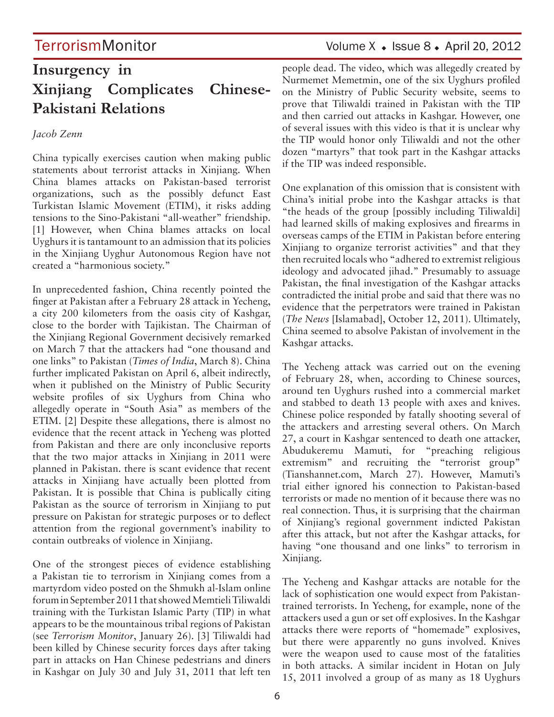## **Insurgency in Xinjiang Complicates Chinese-Pakistani Relations**

## *Jacob Zenn*

China typically exercises caution when making public statements about terrorist attacks in Xinjiang. When China blames attacks on Pakistan-based terrorist organizations, such as the possibly defunct East Turkistan Islamic Movement (ETIM), it risks adding tensions to the Sino-Pakistani "all-weather" friendship. [1] However, when China blames attacks on local Uyghurs it is tantamount to an admission that its policies in the Xinjiang Uyghur Autonomous Region have not created a "harmonious society."

In unprecedented fashion, China recently pointed the finger at Pakistan after a February 28 attack in Yecheng, a city 200 kilometers from the oasis city of Kashgar, close to the border with Tajikistan. The Chairman of the Xinjiang Regional Government decisively remarked on March 7 that the attackers had "one thousand and one links" to Pakistan (*Times of India*, March 8). China further implicated Pakistan on April 6, albeit indirectly, when it published on the Ministry of Public Security website profiles of six Uyghurs from China who allegedly operate in "South Asia" as members of the ETIM. [2] Despite these allegations, there is almost no evidence that the recent attack in Yecheng was plotted from Pakistan and there are only inconclusive reports that the two major attacks in Xinjiang in 2011 were planned in Pakistan. there is scant evidence that recent attacks in Xinjiang have actually been plotted from Pakistan. It is possible that China is publically citing Pakistan as the source of terrorism in Xinjiang to put pressure on Pakistan for strategic purposes or to deflect attention from the regional government's inability to contain outbreaks of violence in Xinjiang.

One of the strongest pieces of evidence establishing a Pakistan tie to terrorism in Xinjiang comes from a martyrdom video posted on the Shmukh al-Islam online forum in September 2011 that showed Memtieli Tiliwaldi training with the Turkistan Islamic Party (TIP) in what appears to be the mountainous tribal regions of Pakistan (see *Terrorism Monitor*, January 26). [3] Tiliwaldi had been killed by Chinese security forces days after taking part in attacks on Han Chinese pedestrians and diners in Kashgar on July 30 and July 31, 2011 that left ten

TerrorismMonitor Volume X + Issue 8 + April 20, 2012

people dead. The video, which was allegedly created by Nurmemet Memetmin, one of the six Uyghurs profiled on the Ministry of Public Security website, seems to prove that Tiliwaldi trained in Pakistan with the TIP and then carried out attacks in Kashgar. However, one of several issues with this video is that it is unclear why the TIP would honor only Tiliwaldi and not the other dozen "martyrs" that took part in the Kashgar attacks if the TIP was indeed responsible.

One explanation of this omission that is consistent with China's initial probe into the Kashgar attacks is that "the heads of the group [possibly including Tiliwaldi] had learned skills of making explosives and firearms in overseas camps of the ETIM in Pakistan before entering Xinjiang to organize terrorist activities" and that they then recruited locals who "adhered to extremist religious ideology and advocated jihad." Presumably to assuage Pakistan, the final investigation of the Kashgar attacks contradicted the initial probe and said that there was no evidence that the perpetrators were trained in Pakistan (*The News* [Islamabad], October 12, 2011). Ultimately, China seemed to absolve Pakistan of involvement in the Kashgar attacks.

The Yecheng attack was carried out on the evening of February 28, when, according to Chinese sources, around ten Uyghurs rushed into a commercial market and stabbed to death 13 people with axes and knives. Chinese police responded by fatally shooting several of the attackers and arresting several others. On March 27, a court in Kashgar sentenced to death one attacker, Abudukeremu Mamuti, for "preaching religious extremism" and recruiting the "terrorist group" (Tianshannet.com, March 27). However, Mamuti's trial either ignored his connection to Pakistan-based terrorists or made no mention of it because there was no real connection. Thus, it is surprising that the chairman of Xinjiang's regional government indicted Pakistan after this attack, but not after the Kashgar attacks, for having "one thousand and one links" to terrorism in Xinjiang.

The Yecheng and Kashgar attacks are notable for the lack of sophistication one would expect from Pakistantrained terrorists. In Yecheng, for example, none of the attackers used a gun or set off explosives. In the Kashgar attacks there were reports of "homemade" explosives, but there were apparently no guns involved. Knives were the weapon used to cause most of the fatalities in both attacks. A similar incident in Hotan on July 15, 2011 involved a group of as many as 18 Uyghurs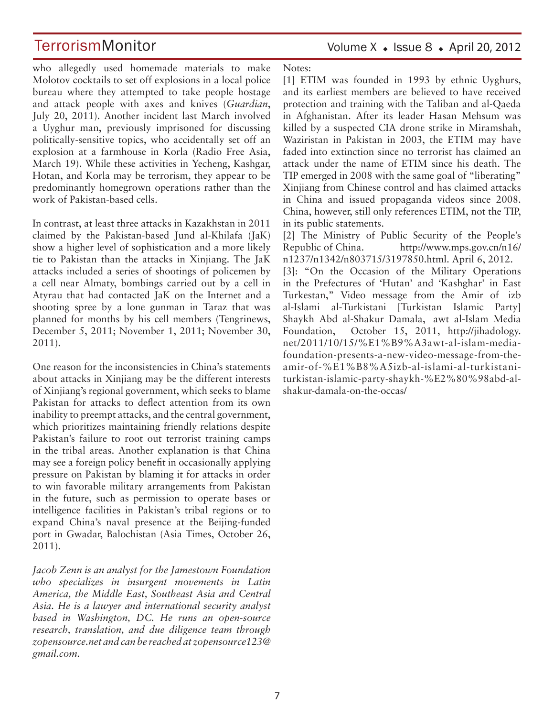who allegedly used homemade materials to make Molotov cocktails to set off explosions in a local police bureau where they attempted to take people hostage and attack people with axes and knives (*Guardian*, July 20, 2011). Another incident last March involved a Uyghur man, previously imprisoned for discussing politically-sensitive topics, who accidentally set off an explosion at a farmhouse in Korla (Radio Free Asia, March 19). While these activities in Yecheng, Kashgar, Hotan, and Korla may be terrorism, they appear to be predominantly homegrown operations rather than the work of Pakistan-based cells.

In contrast, at least three attacks in Kazakhstan in 2011 claimed by the Pakistan-based Jund al-Khilafa (JaK) show a higher level of sophistication and a more likely tie to Pakistan than the attacks in Xinjiang. The JaK attacks included a series of shootings of policemen by a cell near Almaty, bombings carried out by a cell in Atyrau that had contacted JaK on the Internet and a shooting spree by a lone gunman in Taraz that was planned for months by his cell members (Tengrinews, December 5, 2011; November 1, 2011; November 30, 2011).

One reason for the inconsistencies in China's statements about attacks in Xinjiang may be the different interests of Xinjiang's regional government, which seeks to blame Pakistan for attacks to deflect attention from its own inability to preempt attacks, and the central government, which prioritizes maintaining friendly relations despite Pakistan's failure to root out terrorist training camps in the tribal areas. Another explanation is that China may see a foreign policy benefit in occasionally applying pressure on Pakistan by blaming it for attacks in order to win favorable military arrangements from Pakistan in the future, such as permission to operate bases or intelligence facilities in Pakistan's tribal regions or to expand China's naval presence at the Beijing-funded port in Gwadar, Balochistan (Asia Times, October 26, 2011).

*Jacob Zenn is an analyst for the Jamestown Foundation who specializes in insurgent movements in Latin America, the Middle East, Southeast Asia and Central Asia. He is a lawyer and international security analyst based in Washington, DC. He runs an open-source research, translation, and due diligence team through zopensource.net and can be reached at zopensource123@ gmail.com.*

Volume  $X \triangleleft$  Issue 8  $\triangleleft$  April 20, 2012

Notes:

[1] ETIM was founded in 1993 by ethnic Uyghurs, and its earliest members are believed to have received protection and training with the Taliban and al-Qaeda in Afghanistan. After its leader Hasan Mehsum was killed by a suspected CIA drone strike in Miramshah, Waziristan in Pakistan in 2003, the ETIM may have faded into extinction since no terrorist has claimed an attack under the name of ETIM since his death. The TIP emerged in 2008 with the same goal of "liberating" Xinjiang from Chinese control and has claimed attacks in China and issued propaganda videos since 2008. China, however, still only references ETIM, not the TIP, in its public statements.

[2] The Ministry of Public Security of the People's Republic of China. http://www.mps.gov.cn/n16/ n1237/n1342/n803715/3197850.html. April 6, 2012. [3]: "On the Occasion of the Military Operations in the Prefectures of 'Hutan' and 'Kashghar' in East Turkestan," Video message from the Amir of izb al-Islami al-Turkistani [Turkistan Islamic Party] Shaykh Abd al-Shakur Damala, awt al-Islam Media Foundation, October 15, 2011, http://jihadology. net/2011/10/15/%E1%B9%A3awt-al-islam-mediafoundation-presents-a-new-video-message-from-theamir-of-%E1%B8%A5izb-al-islami-al-turkistaniturkistan-islamic-party-shaykh-%E2%80%98abd-alshakur-damala-on-the-occas/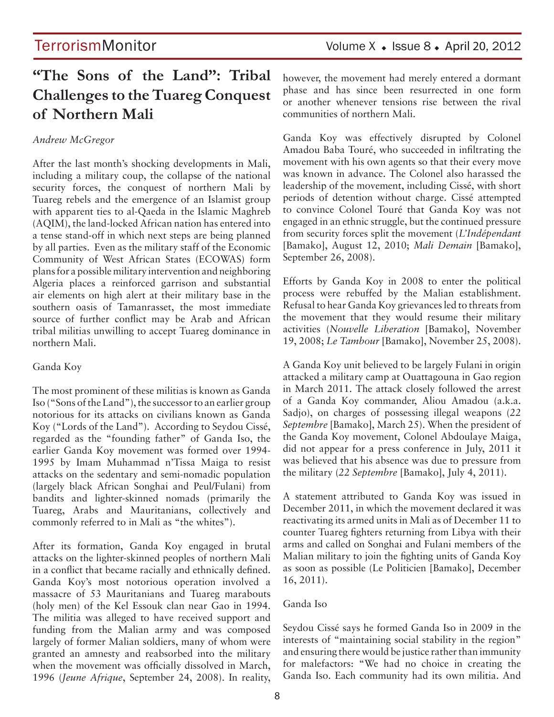## **"The Sons of the Land": Tribal Challenges to the Tuareg Conquest of Northern Mali**

## *Andrew McGregor*

After the last month's shocking developments in Mali, including a military coup, the collapse of the national security forces, the conquest of northern Mali by Tuareg rebels and the emergence of an Islamist group with apparent ties to al-Qaeda in the Islamic Maghreb (AQIM), the land-locked African nation has entered into a tense stand-off in which next steps are being planned by all parties. Even as the military staff of the Economic Community of West African States (ECOWAS) form plans for a possible military intervention and neighboring Algeria places a reinforced garrison and substantial air elements on high alert at their military base in the southern oasis of Tamanrasset, the most immediate source of further conflict may be Arab and African tribal militias unwilling to accept Tuareg dominance in northern Mali.

### Ganda Koy

The most prominent of these militias is known as Ganda Iso ("Sons of the Land"), the successor to an earlier group notorious for its attacks on civilians known as Ganda Koy ("Lords of the Land"). According to Seydou Cissé, regarded as the "founding father" of Ganda Iso, the earlier Ganda Koy movement was formed over 1994- 1995 by Imam Muhammad n'Tissa Maiga to resist attacks on the sedentary and semi-nomadic population (largely black African Songhai and Peul/Fulani) from bandits and lighter-skinned nomads (primarily the Tuareg, Arabs and Mauritanians, collectively and commonly referred to in Mali as "the whites").

After its formation, Ganda Koy engaged in brutal attacks on the lighter-skinned peoples of northern Mali in a conflict that became racially and ethnically defined. Ganda Koy's most notorious operation involved a massacre of 53 Mauritanians and Tuareg marabouts (holy men) of the Kel Essouk clan near Gao in 1994. The militia was alleged to have received support and funding from the Malian army and was composed largely of former Malian soldiers, many of whom were granted an amnesty and reabsorbed into the military when the movement was officially dissolved in March, 1996 (*Jeune Afrique*, September 24, 2008). In reality, however, the movement had merely entered a dormant phase and has since been resurrected in one form or another whenever tensions rise between the rival communities of northern Mali.

Ganda Koy was effectively disrupted by Colonel Amadou Baba Touré, who succeeded in infiltrating the movement with his own agents so that their every move was known in advance. The Colonel also harassed the leadership of the movement, including Cissé, with short periods of detention without charge. Cissé attempted to convince Colonel Touré that Ganda Koy was not engaged in an ethnic struggle, but the continued pressure from security forces split the movement (*L'Indépendant*  [Bamako], August 12, 2010; *Mali Demain* [Bamako], September 26, 2008).

Efforts by Ganda Koy in 2008 to enter the political process were rebuffed by the Malian establishment. Refusal to hear Ganda Koy grievances led to threats from the movement that they would resume their military activities (*Nouvelle Liberation* [Bamako], November 19, 2008; *Le Tambour* [Bamako], November 25, 2008).

A Ganda Koy unit believed to be largely Fulani in origin attacked a military camp at Ouattagouna in Gao region in March 2011. The attack closely followed the arrest of a Ganda Koy commander, Aliou Amadou (a.k.a. Sadjo), on charges of possessing illegal weapons (*22 Septembre* [Bamako], March 25). When the president of the Ganda Koy movement, Colonel Abdoulaye Maiga, did not appear for a press conference in July, 2011 it was believed that his absence was due to pressure from the military (*22 Septembre* [Bamako], July 4, 2011).

A statement attributed to Ganda Koy was issued in December 2011, in which the movement declared it was reactivating its armed units in Mali as of December 11 to counter Tuareg fighters returning from Libya with their arms and called on Songhai and Fulani members of the Malian military to join the fighting units of Ganda Koy as soon as possible (Le Politicien [Bamako], December 16, 2011).

### Ganda Iso

Seydou Cissé says he formed Ganda Iso in 2009 in the interests of "maintaining social stability in the region" and ensuring there would be justice rather than immunity for malefactors: "We had no choice in creating the Ganda Iso. Each community had its own militia. And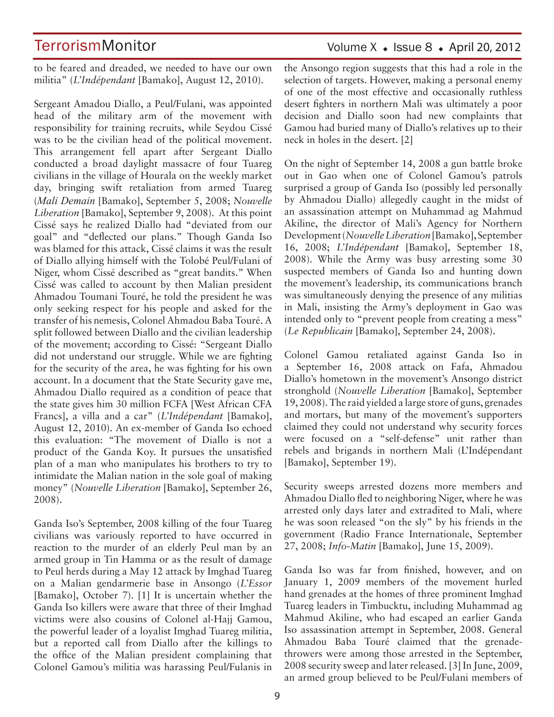to be feared and dreaded, we needed to have our own militia" (*L'Indépendant* [Bamako], August 12, 2010).

Sergeant Amadou Diallo, a Peul/Fulani, was appointed head of the military arm of the movement with responsibility for training recruits, while Seydou Cissé was to be the civilian head of the political movement. This arrangement fell apart after Sergeant Diallo conducted a broad daylight massacre of four Tuareg civilians in the village of Hourala on the weekly market day, bringing swift retaliation from armed Tuareg (*Mali Demain* [Bamako], September 5, 2008; *Nouvelle Liberation* [Bamako], September 9, 2008). At this point Cissé says he realized Diallo had "deviated from our goal" and "deflected our plans." Though Ganda Iso was blamed for this attack, Cissé claims it was the result of Diallo allying himself with the Tolobé Peul/Fulani of Niger, whom Cissé described as "great bandits." When Cissé was called to account by then Malian president Ahmadou Toumani Touré, he told the president he was only seeking respect for his people and asked for the transfer of his nemesis, Colonel Ahmadou Baba Touré. A split followed between Diallo and the civilian leadership of the movement; according to Cissé: "Sergeant Diallo did not understand our struggle. While we are fighting for the security of the area, he was fighting for his own account. In a document that the State Security gave me, Ahmadou Diallo required as a condition of peace that the state gives him 30 million FCFA [West African CFA Francs], a villa and a car" (*L'Indépendant* [Bamako], August 12, 2010). An ex-member of Ganda Iso echoed this evaluation: "The movement of Diallo is not a product of the Ganda Koy. It pursues the unsatisfied plan of a man who manipulates his brothers to try to intimidate the Malian nation in the sole goal of making money" (*Nouvelle Liberation* [Bamako], September 26, 2008).

Ganda Iso's September, 2008 killing of the four Tuareg civilians was variously reported to have occurred in reaction to the murder of an elderly Peul man by an armed group in Tin Hamma or as the result of damage to Peul herds during a May 12 attack by Imghad Tuareg on a Malian gendarmerie base in Ansongo (*L'Essor* [Bamako], October 7). [1] It is uncertain whether the Ganda Iso killers were aware that three of their Imghad victims were also cousins of Colonel al-Hajj Gamou, the powerful leader of a loyalist Imghad Tuareg militia, but a reported call from Diallo after the killings to the office of the Malian president complaining that Colonel Gamou's militia was harassing Peul/Fulanis in

## Volume  $X \triangleleft Issue 8 \triangleleft Arpi 120, 2012$

the Ansongo region suggests that this had a role in the selection of targets. However, making a personal enemy of one of the most effective and occasionally ruthless desert fighters in northern Mali was ultimately a poor decision and Diallo soon had new complaints that Gamou had buried many of Diallo's relatives up to their neck in holes in the desert. [2]

On the night of September 14, 2008 a gun battle broke out in Gao when one of Colonel Gamou's patrols surprised a group of Ganda Iso (possibly led personally by Ahmadou Diallo) allegedly caught in the midst of an assassination attempt on Muhammad ag Mahmud Akiline, the director of Mali's Agency for Northern Development (*Nouvelle Liberation* [Bamako], September 16, 2008; *L'Indépendant* [Bamako], September 18, 2008). While the Army was busy arresting some 30 suspected members of Ganda Iso and hunting down the movement's leadership, its communications branch was simultaneously denying the presence of any militias in Mali, insisting the Army's deployment in Gao was intended only to "prevent people from creating a mess" (*Le Republicain* [Bamako], September 24, 2008).

Colonel Gamou retaliated against Ganda Iso in a September 16, 2008 attack on Fafa, Ahmadou Diallo's hometown in the movement's Ansongo district stronghold (*Nouvelle Liberation* [Bamako], September 19, 2008). The raid yielded a large store of guns, grenades and mortars, but many of the movement's supporters claimed they could not understand why security forces were focused on a "self-defense" unit rather than rebels and brigands in northern Mali (L'Indépendant [Bamako], September 19).

Security sweeps arrested dozens more members and Ahmadou Diallo fled to neighboring Niger, where he was arrested only days later and extradited to Mali, where he was soon released "on the sly" by his friends in the government (Radio France Internationale, September 27, 2008; *Info-Matin* [Bamako], June 15, 2009).

Ganda Iso was far from finished, however, and on January 1, 2009 members of the movement hurled hand grenades at the homes of three prominent Imghad Tuareg leaders in Timbucktu, including Muhammad ag Mahmud Akiline, who had escaped an earlier Ganda Iso assassination attempt in September, 2008. General Ahmadou Baba Touré claimed that the grenadethrowers were among those arrested in the September, 2008 security sweep and later released. [3] In June, 2009, an armed group believed to be Peul/Fulani members of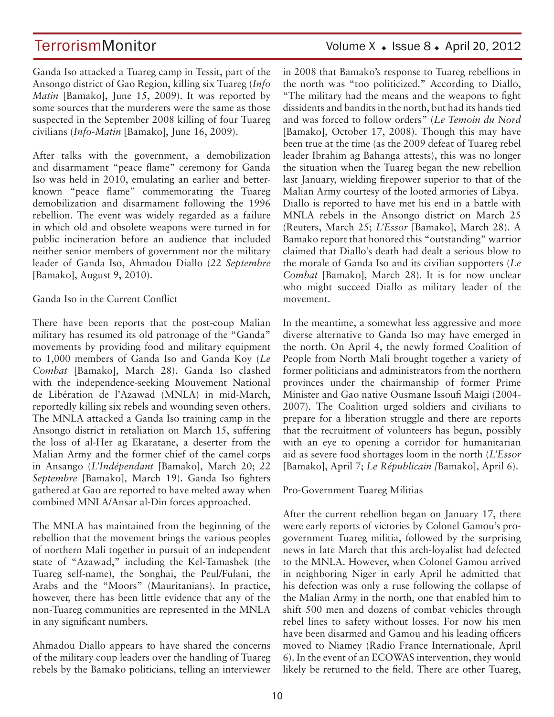Ganda Iso attacked a Tuareg camp in Tessit, part of the Ansongo district of Gao Region, killing six Tuareg (*Info Matin* [Bamako], June 15, 2009). It was reported by some sources that the murderers were the same as those suspected in the September 2008 killing of four Tuareg civilians (*Info-Matin* [Bamako], June 16, 2009).

After talks with the government, a demobilization and disarmament "peace flame" ceremony for Ganda Iso was held in 2010, emulating an earlier and betterknown "peace flame" commemorating the Tuareg demobilization and disarmament following the 1996 rebellion. The event was widely regarded as a failure in which old and obsolete weapons were turned in for public incineration before an audience that included neither senior members of government nor the military leader of Ganda Iso, Ahmadou Diallo (*22 Septembre*  [Bamako], August 9, 2010).

## Ganda Iso in the Current Conflict

There have been reports that the post-coup Malian military has resumed its old patronage of the "Ganda" movements by providing food and military equipment to 1,000 members of Ganda Iso and Ganda Koy (*Le Combat* [Bamako], March 28). Ganda Iso clashed with the independence-seeking Mouvement National de Libération de l'Azawad (MNLA) in mid-March, reportedly killing six rebels and wounding seven others. The MNLA attacked a Ganda Iso training camp in the Ansongo district in retaliation on March 15, suffering the loss of al-Her ag Ekaratane, a deserter from the Malian Army and the former chief of the camel corps in Ansango (*L'Indépendant* [Bamako], March 20; *22 Septembre* [Bamako], March 19). Ganda Iso fighters gathered at Gao are reported to have melted away when combined MNLA/Ansar al-Din forces approached.

The MNLA has maintained from the beginning of the rebellion that the movement brings the various peoples of northern Mali together in pursuit of an independent state of "Azawad," including the Kel-Tamashek (the Tuareg self-name), the Songhai, the Peul/Fulani, the Arabs and the "Moors" (Mauritanians). In practice, however, there has been little evidence that any of the non-Tuareg communities are represented in the MNLA in any significant numbers.

Ahmadou Diallo appears to have shared the concerns of the military coup leaders over the handling of Tuareg rebels by the Bamako politicians, telling an interviewer in 2008 that Bamako's response to Tuareg rebellions in the north was "too politicized." According to Diallo, "The military had the means and the weapons to fight dissidents and bandits in the north, but had its hands tied and was forced to follow orders" (*Le Temoin du Nord*  [Bamako], October 17, 2008). Though this may have been true at the time (as the 2009 defeat of Tuareg rebel leader Ibrahim ag Bahanga attests), this was no longer the situation when the Tuareg began the new rebellion last January, wielding firepower superior to that of the Malian Army courtesy of the looted armories of Libya. Diallo is reported to have met his end in a battle with MNLA rebels in the Ansongo district on March 25 (Reuters, March 25; *L'Essor* [Bamako], March 28). A Bamako report that honored this "outstanding" warrior claimed that Diallo's death had dealt a serious blow to the morale of Ganda Iso and its civilian supporters (*Le Combat* [Bamako], March 28). It is for now unclear who might succeed Diallo as military leader of the movement.

In the meantime, a somewhat less aggressive and more diverse alternative to Ganda Iso may have emerged in the north. On April 4, the newly formed Coalition of People from North Mali brought together a variety of former politicians and administrators from the northern provinces under the chairmanship of former Prime Minister and Gao native Ousmane Issoufi Maigi (2004- 2007). The Coalition urged soldiers and civilians to prepare for a liberation struggle and there are reports that the recruitment of volunteers has begun, possibly with an eye to opening a corridor for humanitarian aid as severe food shortages loom in the north (*L'Essor*  [Bamako], April 7; *Le Républicain [*Bamako], April 6).

## Pro-Government Tuareg Militias

After the current rebellion began on January 17, there were early reports of victories by Colonel Gamou's progovernment Tuareg militia, followed by the surprising news in late March that this arch-loyalist had defected to the MNLA. However, when Colonel Gamou arrived in neighboring Niger in early April he admitted that his defection was only a ruse following the collapse of the Malian Army in the north, one that enabled him to shift 500 men and dozens of combat vehicles through rebel lines to safety without losses. For now his men have been disarmed and Gamou and his leading officers moved to Niamey (Radio France Internationale, April 6). In the event of an ECOWAS intervention, they would likely be returned to the field. There are other Tuareg,